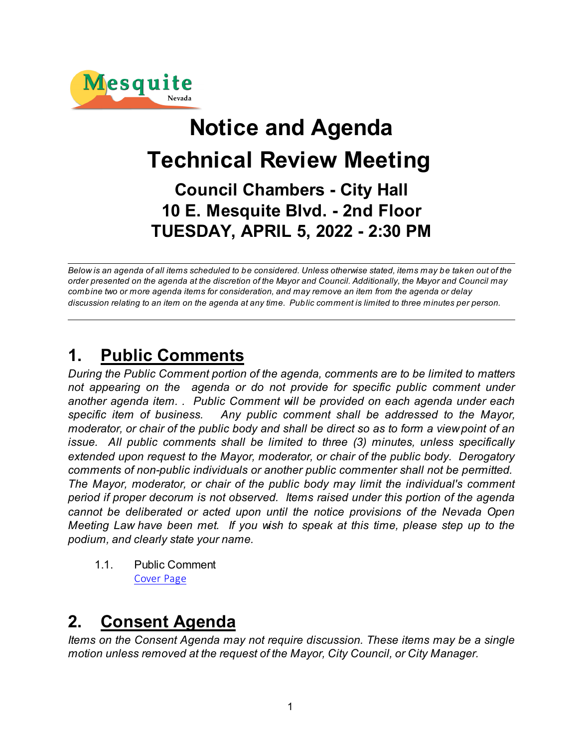

# **Notice and Agenda Technical Review Meeting Council Chambers - City Hall 10 E. Mesquite Blvd. - 2nd Floor TUESDAY, APRIL 5, 2022 - 2:30 PM**

*Below is an agenda of all items scheduled to be considered. Unless otherwise stated, items may be taken out of the order presented on the agenda at the discretion of the Mayor and Council. Additionally, the Mayor and Council may combine two or more agenda items for consideration, and may remove an item from the agenda or delay discussion relating to an item on the agenda at any time. Public comment is limited to three minutes per person.*

# **1. Public Comments**

*During the Public Comment portion of the agenda, comments are to be limited to matters not appearing on the agenda or do not provide for specific public comment under another agenda item. . Public Comment will be provided on each agenda under each specific item of business. Any public comment shall be addressed to the Mayor, moderator, or chair of the public body and shall be direct so as to form a view point of an issue. All public comments shall be limited to three (3) minutes, unless specifically extended upon request to the Mayor, moderator, or chair of the public body. Derogatory comments of non-public individuals or another public commenter shall not be permitted. The Mayor, moderator, or chair of the public body may limit the individual's comment period if proper decorum is not observed. Items raised under this portion of the agenda cannot be deliberated or acted upon until the notice provisions of the Nevada Open Meeting Law have been met. If you wish to speak at this time, please step up to the podium, and clearly state your name.*

1.1. Public Comment [Cover Page](https://legistarweb-production.s3.amazonaws.com/uploads/attachment/pdf/1304067/aec76bdb74f291261708a017e9cf232c0.pdf)

# **2. Consent Agenda**

*Items on the Consent Agenda may not require discussion. These items may be a single motion unless removed at the request of the Mayor, City Council, or City Manager.*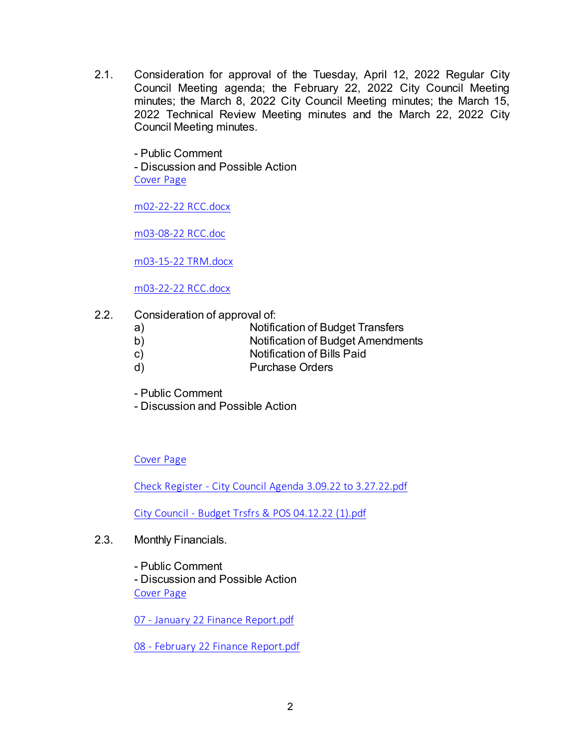2.1. Consideration for approval of the Tuesday, April 12, 2022 Regular City Council Meeting agenda; the February 22, 2022 City Council Meeting minutes; the March 8, 2022 City Council Meeting minutes; the March 15, 2022 Technical Review Meeting minutes and the March 22, 2022 City Council Meeting minutes.

- Public Comment - Discussion and Possible Action [Cover Page](https://legistarweb-production.s3.amazonaws.com/uploads/attachment/pdf/1306801/911ad725da3334eb22a13601b18a631b0.pdf)

[m02-22-22 RCC.docx](https://legistarweb-production.s3.amazonaws.com/uploads/attachment/pdf/1306746/m02-22-22_RCC.pdf)

[m03-08-22 RCC.doc](https://legistarweb-production.s3.amazonaws.com/uploads/attachment/pdf/1306747/m03-08-22_RCC.pdf)

[m03-15-22 TRM.docx](https://legistarweb-production.s3.amazonaws.com/uploads/attachment/pdf/1306796/m03-15-22_TRM.pdf)

[m03-22-22 RCC.docx](https://legistarweb-production.s3.amazonaws.com/uploads/attachment/pdf/1306797/m03-22-22_RCC.pdf)

2.2. Consideration of approval of:

| a) | Notification of Budget Transfers |  |
|----|----------------------------------|--|
|    |                                  |  |

- b) Notification of Budget Amendments
- c) Notification of Bills Paid
- d) Purchase Orders
- Public Comment
- Discussion and Possible Action

[Cover Page](https://legistarweb-production.s3.amazonaws.com/uploads/attachment/pdf/1305704/f1077541d07f97d4e2a5f61399a0cc6c0.pdf)

[Check Register - City Council Agenda 3.09.22 to 3.27.22.pdf](https://legistarweb-production.s3.amazonaws.com/uploads/attachment/pdf/1303727/Check_Register_-_City_Council_Agenda_3.09.22_to_3.27.22.pdf)

[City Council - Budget Trsfrs & POS 04.12.22 \(1\).pdf](https://legistarweb-production.s3.amazonaws.com/uploads/attachment/pdf/1308670/City_Council_-_Budget_Trsfrs___POS_04.12.22__1_.pdf)

2.3. Monthly Financials.

- Public Comment - Discussion and Possible Action [Cover Page](https://legistarweb-production.s3.amazonaws.com/uploads/attachment/pdf/1305215/e920434902f531f51913bc210414813d0.pdf)

[07 - January 22 Finance Report.pdf](https://legistarweb-production.s3.amazonaws.com/uploads/attachment/pdf/1304904/07_-_January_22_Finance_Report.pdf)

[08 - February 22 Finance Report.pdf](https://legistarweb-production.s3.amazonaws.com/uploads/attachment/pdf/1304905/08_-_February_22_Finance_Report.pdf)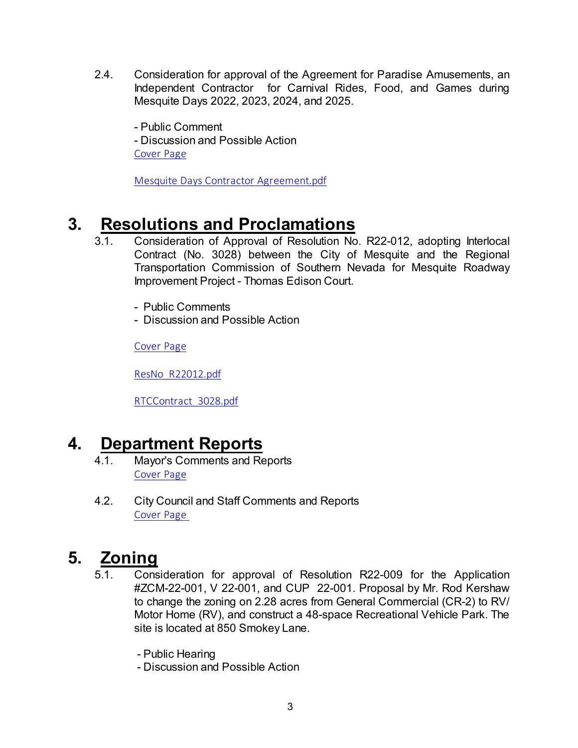2.4. Consideration for approval of the Agreement for Paradise Amusements, an Independent Contractor for Carnival Rides, Food, and Games during Mesquite Days 2022, 2023, 2024, and 2025.

- Public Comment - Discussion and Possible Action [Cover Page](https://legistarweb-production.s3.amazonaws.com/uploads/attachment/pdf/1307283/9a35f367f939bf72902d1151441a85f00.pdf)

[Mesquite Days Contractor Agreement.pdf](https://legistarweb-production.s3.amazonaws.com/uploads/attachment/pdf/1307279/Mesquite_Days_Contractor_Agreement.pdf)

# **3. Resolutions and Proclamations**

- 3.1. Consideration of Approval of Resolution No. R22-012, adopting Interlocal Contract (No. 3028) between the City of Mesquite and the Regional Transportation Commission of Southern Nevada for Mesquite Roadway Improvement Project - Thomas Edison Court.
	- Public Comments
	- Discussion and Possible Action

[Cover Page](https://legistarweb-production.s3.amazonaws.com/uploads/attachment/pdf/1307411/68e216da901af5b8778c08d38144297e0.pdf)

[ResNo\\_R22012.pdf](https://legistarweb-production.s3.amazonaws.com/uploads/attachment/pdf/1307388/ResNo_R22012.pdf)

[RTCContract\\_3028.pdf](https://legistarweb-production.s3.amazonaws.com/uploads/attachment/pdf/1307389/RTCContract_3028.pdf)

# **4. Department Reports**

- 4.1. Mayor's Comments and Reports [Cover Page](https://legistarweb-production.s3.amazonaws.com/uploads/attachment/pdf/1304145/5e135832f328253b2927c514a0f7ed9d0.pdf)
- 4.2. City Council and Staff Comments and Reports [Cover Page](https://legistarweb-production.s3.amazonaws.com/uploads/attachment/pdf/1304102/fa01bea38584ecb4f79dea899b5779880.pdf)

# **5. Zoning**

- 5.1. Consideration for approval of Resolution R22-009 for the Application #ZCM-22-001, V 22-001, and CUP 22-001. Proposal by Mr. Rod Kershaw to change the zoning on 2.28 acres from General Commercial (CR-2) to RV/ Motor Home (RV), and construct a 48-space Recreational Vehicle Park. The site is located at 850 Smokey Lane.
	- Public Hearing
	- Discussion and Possible Action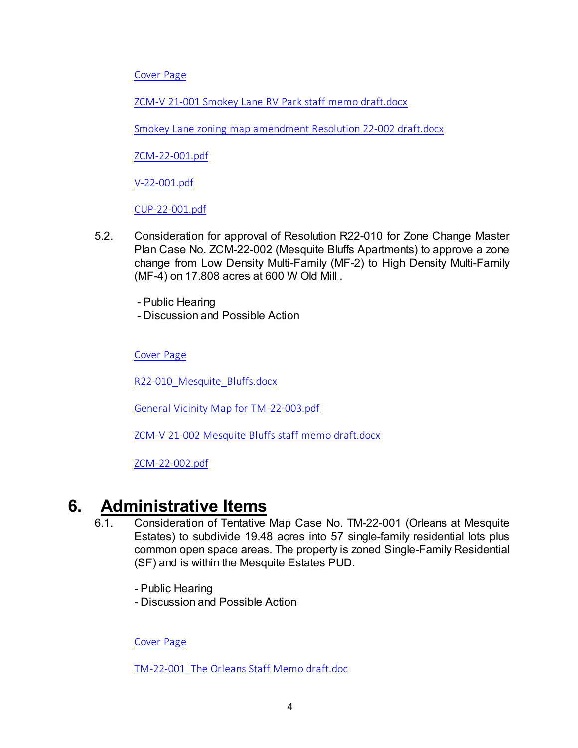[Cover Page](https://legistarweb-production.s3.amazonaws.com/uploads/attachment/pdf/1306804/33716f460bbf4bf41f4fcb6c8269580f0.pdf)

[ZCM-V 21-001 Smokey Lane RV Park staff memo draft.docx](https://legistarweb-production.s3.amazonaws.com/uploads/attachment/pdf/1304116/ZCM-V_21-001_Smokey_Lane_RV_Park_staff_memo_draft.pdf)

[Smokey Lane zoning map amendment Resolution 22-002 draft.docx](https://legistarweb-production.s3.amazonaws.com/uploads/attachment/pdf/1304117/Smokey_Lane_zoning_map_amendment_Resolution_22-002_draft.pdf)

[ZCM-22-001.pdf](https://legistarweb-production.s3.amazonaws.com/uploads/attachment/pdf/1304118/ZCM-22-001.pdf)

[V-22-001.pdf](https://legistarweb-production.s3.amazonaws.com/uploads/attachment/pdf/1304119/V-22-001.pdf)

[CUP-22-001.pdf](https://legistarweb-production.s3.amazonaws.com/uploads/attachment/pdf/1304120/CUP-22-001.pdf)

- 5.2. Consideration for approval of Resolution R22-010 for Zone Change Master Plan Case No. ZCM-22-002 (Mesquite Bluffs Apartments) to approve a zone change from Low Density Multi-Family (MF-2) to High Density Multi-Family (MF-4) on 17.808 acres at 600 W Old Mill .
	- Public Hearing
	- Discussion and Possible Action

[Cover Page](https://legistarweb-production.s3.amazonaws.com/uploads/attachment/pdf/1306806/fd21cf4fcba389251f73876c56473f440.pdf)

[R22-010\\_Mesquite\\_Bluffs.docx](https://legistarweb-production.s3.amazonaws.com/uploads/attachment/pdf/1304790/R22-010_Mesquite_Bluffs.pdf)

[General Vicinity Map for TM-22-003.pdf](https://legistarweb-production.s3.amazonaws.com/uploads/attachment/pdf/1302547/General_Vicinity_Map_for_TM-22-003.pdf)

[ZCM-V 21-002 Mesquite Bluffs staff memo draft.docx](https://legistarweb-production.s3.amazonaws.com/uploads/attachment/pdf/1302548/ZCM-V_21-002_Mesquite_Bluffs_staff_memo_draft.pdf)

[ZCM-22-002.pdf](https://legistarweb-production.s3.amazonaws.com/uploads/attachment/pdf/1302549/ZCM-22-002.pdf)

# **6. Administrative Items**

- 6.1. Consideration of Tentative Map Case No. TM-22-001 (Orleans at Mesquite Estates) to subdivide 19.48 acres into 57 single-family residential lots plus common open space areas. The property is zoned Single-Family Residential (SF) and is within the Mesquite Estates PUD.
	- Public Hearing
	- Discussion and Possible Action

[Cover Page](https://legistarweb-production.s3.amazonaws.com/uploads/attachment/pdf/1306811/14476ae3f2de883b1dde8f3b4c9577620.pdf)

[TM-22-001\\_The Orleans Staff Memo draft.doc](https://legistarweb-production.s3.amazonaws.com/uploads/attachment/pdf/1301931/TM-22-001_The_Orleans_Staff_Memo_draft.pdf)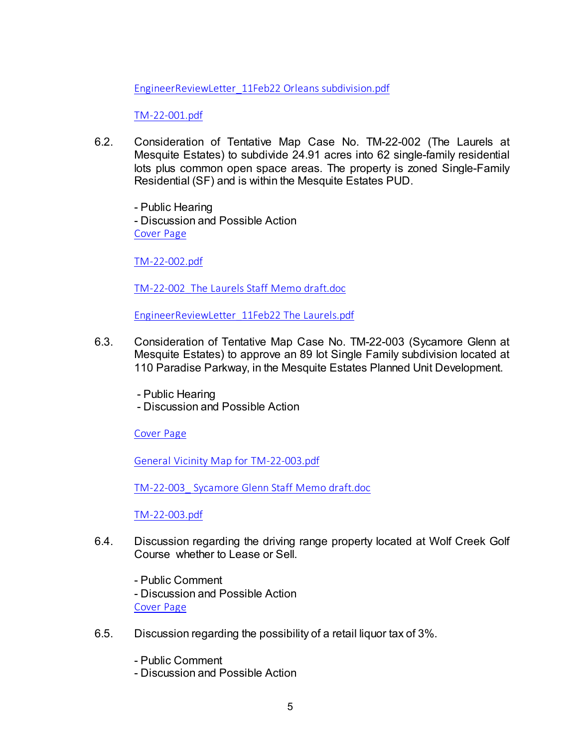[EngineerReviewLetter\\_11Feb22 Orleans subdivision.pdf](https://legistarweb-production.s3.amazonaws.com/uploads/attachment/pdf/1301932/EngineerReviewLetter_11Feb22_Orleans_subdivision.pdf)

[TM-22-001.pdf](https://legistarweb-production.s3.amazonaws.com/uploads/attachment/pdf/1301933/TM-22-001.pdf)

6.2. Consideration of Tentative Map Case No. TM-22-002 (The Laurels at Mesquite Estates) to subdivide 24.91 acres into 62 single-family residential lots plus common open space areas. The property is zoned Single-Family Residential (SF) and is within the Mesquite Estates PUD.

- Public Hearing - Discussion and Possible Action [Cover Page](https://legistarweb-production.s3.amazonaws.com/uploads/attachment/pdf/1306810/462b8b421686c09a3b6b73f4ba7e21df0.pdf)

[TM-22-002.pdf](https://legistarweb-production.s3.amazonaws.com/uploads/attachment/pdf/1302048/TM-22-002.pdf)

[TM-22-002\\_The Laurels Staff Memo draft.doc](https://legistarweb-production.s3.amazonaws.com/uploads/attachment/pdf/1302049/TM-22-002_The_Laurels_Staff_Memo_draft.pdf)

[EngineerReviewLetter\\_11Feb22 The Laurels.pdf](https://legistarweb-production.s3.amazonaws.com/uploads/attachment/pdf/1302050/EngineerReviewLetter_11Feb22_The_Laurels.pdf)

- 6.3. Consideration of Tentative Map Case No. TM-22-003 (Sycamore Glenn at Mesquite Estates) to approve an 89 lot Single Family subdivision located at 110 Paradise Parkway, in the Mesquite Estates Planned Unit Development.
	- Public Hearing
	- Discussion and Possible Action

[Cover Page](https://legistarweb-production.s3.amazonaws.com/uploads/attachment/pdf/1306812/b3a0bdf2a593c3bff060ea6312294baa0.pdf)

[General Vicinity Map for TM-22-003.pdf](https://legistarweb-production.s3.amazonaws.com/uploads/attachment/pdf/1302560/General_Vicinity_Map_for_TM-22-003.pdf)

[TM-22-003\\_ Sycamore Glenn Staff Memo draft.doc](https://legistarweb-production.s3.amazonaws.com/uploads/attachment/pdf/1302561/TM-22-003__Sycamore_Glenn_Staff_Memo_draft.pdf)

[TM-22-003.pdf](https://legistarweb-production.s3.amazonaws.com/uploads/attachment/pdf/1302562/TM-22-003.pdf)

- 6.4. Discussion regarding the driving range property located at Wolf Creek Golf Course whether to Lease or Sell.
	- Public Comment

- Discussion and Possible Action

- [Cover Page](https://legistarweb-production.s3.amazonaws.com/uploads/attachment/pdf/1308437/6e420da5cf2f0d63df137751755692060.pdf)
- 6.5. Discussion regarding the possibility of a retail liquor tax of 3%.
	- Public Comment
	- Discussion and Possible Action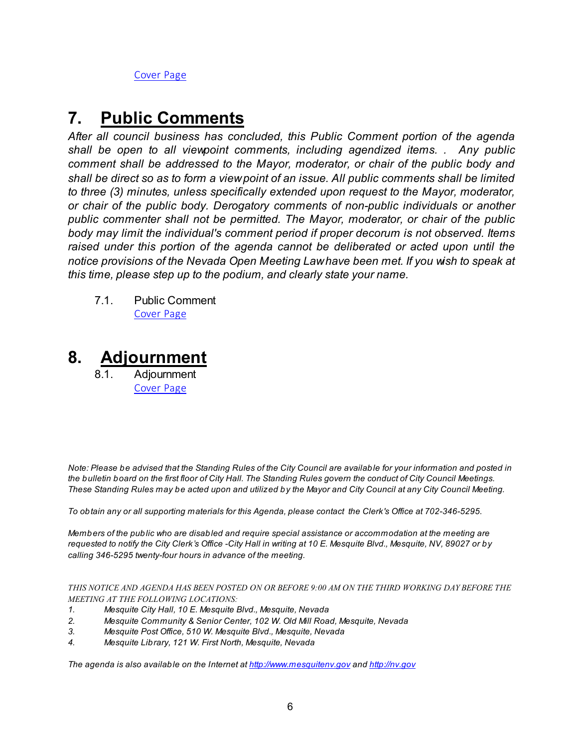[Cover Page](https://legistarweb-production.s3.amazonaws.com/uploads/attachment/pdf/1308655/477f2180d6d0f7750cac02fb00a8ccb00.pdf)

# **7. Public Comments**

*After all council business has concluded, this Public Comment portion of the agenda shall be open to all viewpoint comments, including agendized items. . Any public comment shall be addressed to the Mayor, moderator, or chair of the public body and shall be direct so as to form a view point of an issue. All public comments shall be limited to three (3) minutes, unless specifically extended upon request to the Mayor, moderator, or chair of the public body. Derogatory comments of non-public individuals or another public commenter shall not be permitted. The Mayor, moderator, or chair of the public body may limit the individual's comment period if proper decorum is not observed. Items raised under this portion of the agenda cannot be deliberated or acted upon until the notice provisions of the Nevada Open Meeting Law have been met. If you wish to speak at this time, please step up to the podium, and clearly state your name.*

7.1. Public Comment [Cover Page](https://legistarweb-production.s3.amazonaws.com/uploads/attachment/pdf/1304069/aec76bdb74f291261708a017e9cf232c0.pdf)

# **8. Adjournment**

8.1. Adjournment [Cover Page](https://legistarweb-production.s3.amazonaws.com/uploads/attachment/pdf/1304077/a4e70326b6b0edd406fa0996083ea2bc0.pdf)

*Note: Please be advised that the Standing Rules of the City Council are available for your information and posted in the bulletin board on the first floor of City Hall. The Standing Rules govern the conduct of City Council Meetings. These Standing Rules may be acted upon and utilized by the Mayor and City Council at any City Council Meeting.*

*To obtain any or all supporting materials for this Agenda, please contact the Clerk's Office at 702-346-5295.*

*Members of the public who are disabled and require special assistance or accommodation at the meeting are requested to notify the City Clerk's Office -City Hall in writing at 10 E. Mesquite Blvd., Mesquite, NV, 89027 or by calling 346-5295 twenty-four hours in advance of the meeting.*

*THIS NOTICE AND AGENDA HAS BEEN POSTED ON OR BEFORE 9:00 AM ON THE THIRD WORKING DAY BEFORE THE MEETING AT THE FOLLOWING LOCATIONS:* 

- *1. Mesquite City Hall, 10 E. Mesquite Blvd., Mesquite, Nevada*
- *2. Mesquite Community & Senior Center, 102 W. Old Mill Road, Mesquite, Nevada*
- *3. Mesquite Post Office, 510 W. Mesquite Blvd., Mesquite, Nevada*
- *4. Mesquite Library, 121 W. First North, Mesquite, Nevada*

*The agenda is also available on the Internet at<http://www.mesquitenv.gov> and [http://nv.gov](http://nv.gov/)*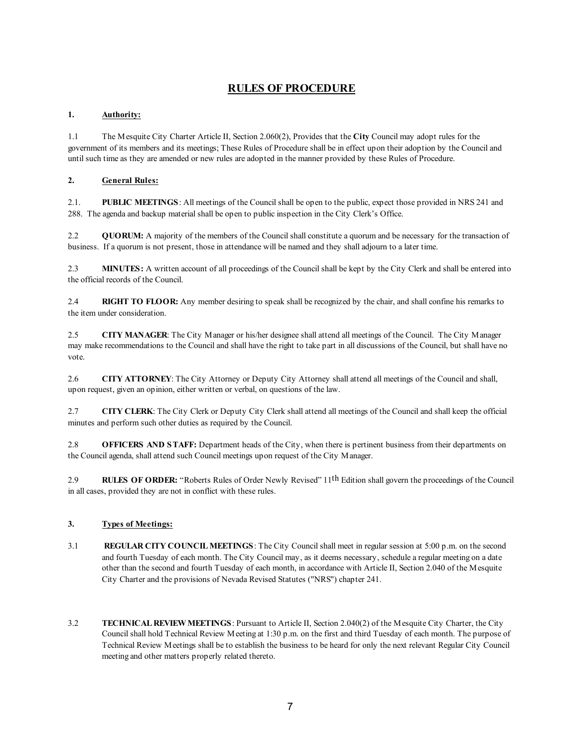## **RULES OF PROCEDURE**

### **1. Authority:**

1.1 The Mesquite City Charter Article II, Section 2.060(2), Provides that the **City** Council may adopt rules for the government of its members and its meetings; These Rules of Procedure shall be in effect upon their adoption by the Council and until such time as they are amended or new rules are adopted in the manner provided by these Rules of Procedure.

### **2. General Rules:**

2.1. **PUBLIC MEETINGS**: All meetings of the Council shall be open to the public, expect those provided in NRS 241 and 288. The agenda and backup material shall be open to public inspection in the City Clerk's Office.

2.2 **QUORUM:** A majority of the members of the Council shall constitute a quorum and be necessary for the transaction of business. If a quorum is not present, those in attendance will be named and they shall adjourn to a later time.

2.3 **MINUTES:** A written account of all proceedings of the Council shall be kept by the City Clerk and shall be entered into the official records of the Council.

2.4 **RIGHT TO FLOOR:** Any member desiring to speak shall be recognized by the chair, and shall confine his remarks to the item under consideration.

2.5 **CITY MANAGER**: The City Manager or his/her designee shall attend all meetings of the Council. The City Manager may make recommendations to the Council and shall have the right to take part in all discussions of the Council, but shall have no vote.

2.6 **CITY ATTORNEY**: The City Attorney or Deputy City Attorney shall attend all meetings of the Council and shall, upon request, given an opinion, either written or verbal, on questions of the law.

2.7 **CITY CLERK**: The City Clerk or Deputy City Clerk shall attend all meetings of the Council and shall keep the official minutes and perform such other duties as required by the Council.

2.8 **OFFICERS AND STAFF:** Department heads of the City, when there is pertinent business from their departments on the Council agenda, shall attend such Council meetings upon request of the City Manager.

2.9 **RULES OF ORDER:** "Roberts Rules of Order Newly Revised" 11th Edition shall govern the proceedings of the Council in all cases, provided they are not in conflict with these rules.

### **3. Types of Meetings:**

- 3.1 **REGULAR CITY COUNCIL MEETINGS**: The City Council shall meet in regular session at 5:00 p.m. on the second and fourth Tuesday of each month. The City Council may, as it deems necessary, schedule a regular meeting on a date other than the second and fourth Tuesday of each month, in accordance with Article II, Section 2.040 of the Mesquite City Charter and the provisions of Nevada Revised Statutes ("NRS") chapter 241.
- 3.2 **TECHNICAL REVIEW MEETINGS**: Pursuant to Article II, Section 2.040(2) of the Mesquite City Charter, the City Council shall hold Technical Review Meeting at 1:30 p.m. on the first and third Tuesday of each month. The purpose of Technical Review Meetings shall be to establish the business to be heard for only the next relevant Regular City Council meeting and other matters properly related thereto.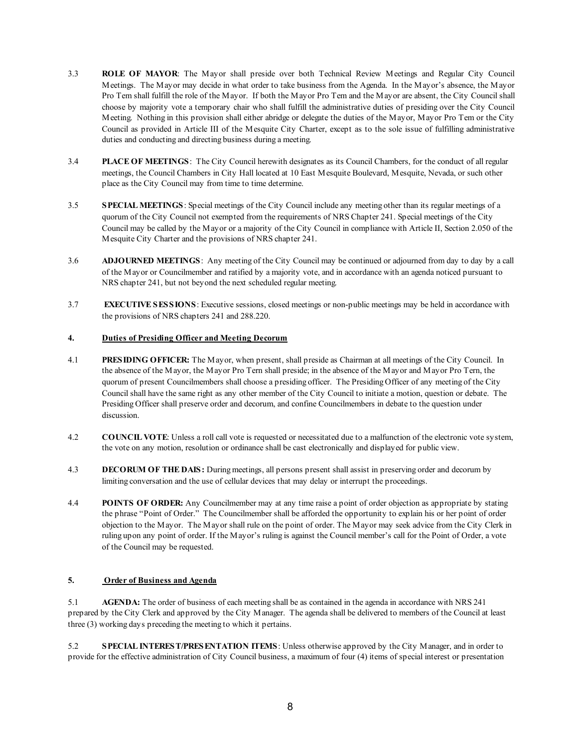- 3.3 **ROLE OF MAYOR**: The Mayor shall preside over both Technical Review Meetings and Regular City Council Meetings. The Mayor may decide in what order to take business from the Agenda. In the Mayor's absence, the Mayor Pro Tem shall fulfill the role of the Mayor. If both the Mayor Pro Tem and the Mayor are absent, the City Council shall choose by majority vote a temporary chair who shall fulfill the administrative duties of presiding over the City Council Meeting. Nothing in this provision shall either abridge or delegate the duties of the Mayor, Mayor Pro Tem or the City Council as provided in Article III of the Mesquite City Charter, except as to the sole issue of fulfilling administrative duties and conducting and directing business during a meeting.
- 3.4 **PLACE OF MEETINGS**: The City Council herewith designates as its Council Chambers, for the conduct of all regular meetings, the Council Chambers in City Hall located at 10 East Mesquite Boulevard, Mesquite, Nevada, or such other place as the City Council may from time to time determine.
- 3.5 **SPECIAL MEETINGS**: Special meetings of the City Council include any meeting other than its regular meetings of a quorum of the City Council not exempted from the requirements of NRS Chapter 241. Special meetings of the City Council may be called by the Mayor or a majority of the City Council in compliance with Article II, Section 2.050 of the Mesquite City Charter and the provisions of NRS chapter 241.
- 3.6 **ADJOURNED MEETINGS**: Any meeting of the City Council may be continued or adjourned from day to day by a call of the Mayor or Councilmember and ratified by a majority vote, and in accordance with an agenda noticed pursuant to NRS chapter 241, but not beyond the next scheduled regular meeting.
- 3.7 **EXECUTIVE SESSIONS**: Executive sessions, closed meetings or non-public meetings may be held in accordance with the provisions of NRS chapters 241 and 288.220.

### **4. Duties of Presiding Officer and Meeting Decorum**

- 4.1 **PRESIDING OFFICER:** The Mayor, when present, shall preside as Chairman at all meetings of the City Council. In the absence of the Mayor, the Mayor Pro Tern shall preside; in the absence of the Mayor and Mayor Pro Tern, the quorum of present Councilmembers shall choose a presiding officer. The Presiding Officer of any meeting of the City Council shall have the same right as any other member of the City Council to initiate a motion, question or debate. The Presiding Officer shall preserve order and decorum, and confine Councilmembers in debate to the question under discussion.
- 4.2 **COUNCIL VOTE**: Unless a roll call vote is requested or necessitated due to a malfunction of the electronic vote system, the vote on any motion, resolution or ordinance shall be cast electronically and displayed for public view.
- 4.3 **DECORUM OF THE DAIS:** During meetings, all persons present shall assist in preserving order and decorum by limiting conversation and the use of cellular devices that may delay or interrupt the proceedings.
- 4.4 **POINTS OF ORDER:** Any Councilmember may at any time raise a point of order objection as appropriate by stating the phrase "Point of Order." The Councilmember shall be afforded the opportunity to explain his or her point of order objection to the Mayor. The Mayor shall rule on the point of order. The Mayor may seek advice from the City Clerk in ruling upon any point of order. If the Mayor's ruling is against the Council member's call for the Point of Order, a vote of the Council may be requested.

#### **5. Order of Business and Agenda**

5.1 **AGENDA:** The order of business of each meeting shall be as contained in the agenda in accordance with NRS 241 prepared by the City Clerk and approved by the City Manager. The agenda shall be delivered to members of the Council at least three (3) working days preceding the meeting to which it pertains.

5.2 **SPECIAL INTEREST/PRESENTATION ITEMS**: Unless otherwise approved by the City Manager, and in order to provide for the effective administration of City Council business, a maximum of four (4) items of special interest or presentation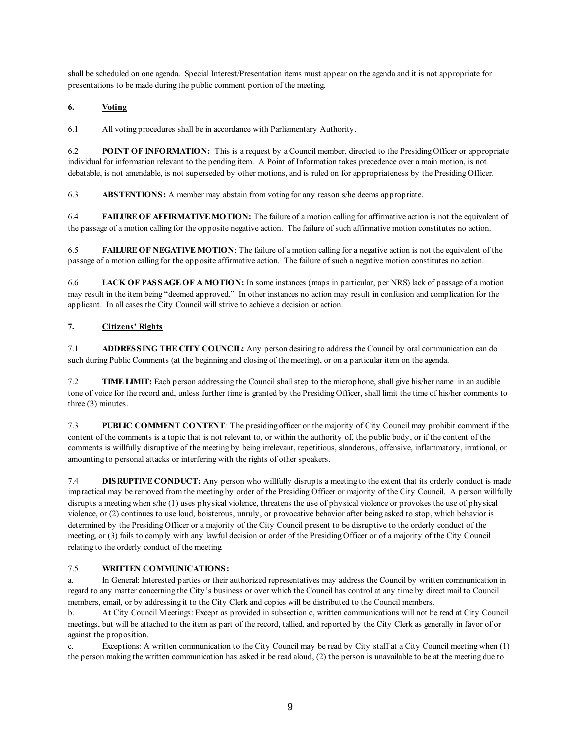shall be scheduled on one agenda. Special Interest/Presentation items must appear on the agenda and it is not appropriate for presentations to be made during the public comment portion of the meeting.

### **6. Voting**

6.1 All voting procedures shall be in accordance with Parliamentary Authority.

6.2 **POINT OF INFORMATION:** This is a request by a Council member, directed to the Presiding Officer or appropriate individual for information relevant to the pending item. A Point of Information takes precedence over a main motion, is not debatable, is not amendable, is not superseded by other motions, and is ruled on for appropriateness by the Presiding Officer.

6.3 **ABSTENTIONS:** A member may abstain from voting for any reason s/he deems appropriate.

6.4 **FAILURE OF AFFIRMATIVE MOTION:** The failure of a motion calling for affirmative action is not the equivalent of the passage of a motion calling for the opposite negative action. The failure of such affirmative motion constitutes no action.

6.5 **FAILURE OF NEGATIVE MOTION**: The failure of a motion calling for a negative action is not the equivalent of the passage of a motion calling for the opposite affirmative action. The failure of such a negative motion constitutes no action.

6.6 **LACK OF PASSAGE OF A MOTION:** In some instances (maps in particular, per NRS) lack of passage of a motion may result in the item being "deemed approved." In other instances no action may result in confusion and complication for the applicant. In all cases the City Council will strive to achieve a decision or action.

### **7. Citizens' Rights**

7.1 **ADDRESSING THE CITY COUNCIL:** Any person desiring to address the Council by oral communication can do such during Public Comments (at the beginning and closing of the meeting), or on a particular item on the agenda.

7.2 **TIME LIMIT:** Each person addressing the Council shall step to the microphone, shall give his/her name in an audible tone of voice for the record and, unless further time is granted by the Presiding Officer, shall limit the time of his/her comments to three (3) minutes.

7.3 **PUBLIC COMMENT CONTENT***:* The presiding officer or the majority of City Council may prohibit comment if the content of the comments is a topic that is not relevant to, or within the authority of, the public body, or if the content of the comments is willfully disruptive of the meeting by being irrelevant, repetitious, slanderous, offensive, inflammatory, irrational, or amounting to personal attacks or interfering with the rights of other speakers.

7.4 **DISRUPTIVE CONDUCT:** Any person who willfully disrupts a meeting to the extent that its orderly conduct is made impractical may be removed from the meeting by order of the Presiding Officer or majority of the City Council. A person willfully disrupts a meeting when s/he (1) uses physical violence, threatens the use of physical violence or provokes the use of physical violence, or (2) continues to use loud, boisterous, unruly, or provocative behavior after being asked to stop, which behavior is determined by the Presiding Officer or a majority of the City Council present to be disruptive to the orderly conduct of the meeting, or (3) fails to comply with any lawful decision or order of the Presiding Officer or of a majority of the City Council relating to the orderly conduct of the meeting.

### 7.5 **WRITTEN COMMUNICATIONS:**

a. In General: Interested parties or their authorized representatives may address the Council by written communication in regard to any matter concerning the City's business or over which the Council has control at any time by direct mail to Council members, email, or by addressing it to the City Clerk and copies will be distributed to the Council members.

b. At City Council Meetings: Except as provided in subsection c, written communications will not be read at City Council meetings, but will be attached to the item as part of the record, tallied, and reported by the City Clerk as generally in favor of or against the proposition.

c. Exceptions: A written communication to the City Council may be read by City staff at a City Council meeting when (1) the person making the written communication has asked it be read aloud, (2) the person is unavailable to be at the meeting due to